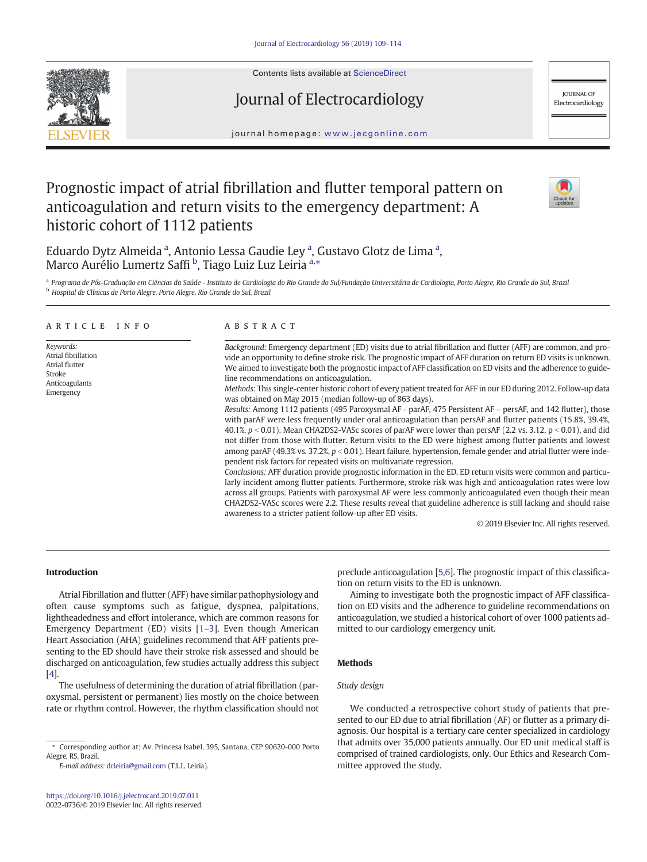Contents lists available at ScienceDirect

# Journal of Electrocardiology

**IOURNAL OF** Electrocardiology

journal homepage: <www.jecgonline.com>

# Prognostic impact of atrial fibrillation and flutter temporal pattern on anticoagulation and return visits to the emergency department: A historic cohort of 1112 patients



### Eduardo Dytz Almeida<sup>a</sup>, Antonio Lessa Gaudie Ley<sup>a</sup>, Gustavo Glotz de Lima<sup>a</sup>, Marco Aurélio Lumertz Saffi <sup>b</sup>, Tiago Luiz Luz Leiria <sup>a,</sup>\*

a Programa de Pós-Graduação em Ciências da Saúde - Instituto de Cardiologia do Rio Grande do Sul/Fundação Universitária de Cardiologia, Porto Alegre, Rio Grande do Sul, Brazil <sup>b</sup> Hospital de Clínicas de Porto Alegre, Porto Alegre, Rio Grande do Sul, Brazil

### article info abstract

Keywords: Atrial fibrillation Atrial flutter Stroke **Anticoagulants** Emergency

Background: Emergency department (ED) visits due to atrial fibrillation and flutter (AFF) are common, and provide an opportunity to define stroke risk. The prognostic impact of AFF duration on return ED visits is unknown. We aimed to investigate both the prognostic impact of AFF classification on ED visits and the adherence to guideline recommendations on anticoagulation.

Methods: This single-center historic cohort of every patient treated for AFF in our ED during 2012. Follow-up data was obtained on May 2015 (median follow-up of 863 days).

Results: Among 1112 patients (495 Paroxysmal AF - parAF, 475 Persistent AF – persAF, and 142 flutter), those with parAF were less frequently under oral anticoagulation than persAF and flutter patients (15.8%, 39.4%, 40.1%,  $p < 0.01$ ). Mean CHA2DS2-VASc scores of parAF were lower than persAF (2.2 vs. 3.12, p < 0.01), and did not differ from those with flutter. Return visits to the ED were highest among flutter patients and lowest among parAF (49.3% vs. 37.2%,  $p < 0.01$ ). Heart failure, hypertension, female gender and atrial flutter were independent risk factors for repeated visits on multivariate regression.

Conclusions: AFF duration provide prognostic information in the ED. ED return visits were common and particularly incident among flutter patients. Furthermore, stroke risk was high and anticoagulation rates were low across all groups. Patients with paroxysmal AF were less commonly anticoagulated even though their mean CHA2DS2-VASc scores were 2.2. These results reveal that guideline adherence is still lacking and should raise awareness to a stricter patient follow-up after ED visits.

© 2019 Elsevier Inc. All rights reserved.

#### Introduction

Atrial Fibrillation and flutter (AFF) have similar pathophysiology and often cause symptoms such as fatigue, dyspnea, palpitations, lightheadedness and effort intolerance, which are common reasons for Emergency Department (ED) visits [\[1](#page-5-0)–3]. Even though American Heart Association (AHA) guidelines recommend that AFF patients presenting to the ED should have their stroke risk assessed and should be discharged on anticoagulation, few studies actually address this subject [\[4\]](#page-5-0).

The usefulness of determining the duration of atrial fibrillation (paroxysmal, persistent or permanent) lies mostly on the choice between rate or rhythm control. However, the rhythm classification should not

E-mail address: [drleiria@gmail.com](mailto:drleiria@gmail.com) (T.L.L. Leiria).

preclude anticoagulation [[5](#page-5-0),[6](#page-5-0)]. The prognostic impact of this classification on return visits to the ED is unknown.

Aiming to investigate both the prognostic impact of AFF classification on ED visits and the adherence to guideline recommendations on anticoagulation, we studied a historical cohort of over 1000 patients admitted to our cardiology emergency unit.

#### **Methods**

#### Study design

We conducted a retrospective cohort study of patients that presented to our ED due to atrial fibrillation (AF) or flutter as a primary diagnosis. Our hospital is a tertiary care center specialized in cardiology that admits over 35,000 patients annually. Our ED unit medical staff is comprised of trained cardiologists, only. Our Ethics and Research Committee approved the study.

<sup>⁎</sup> Corresponding author at: Av. Princesa Isabel, 395, Santana, CEP 90620-000 Porto Alegre, RS, Brazil.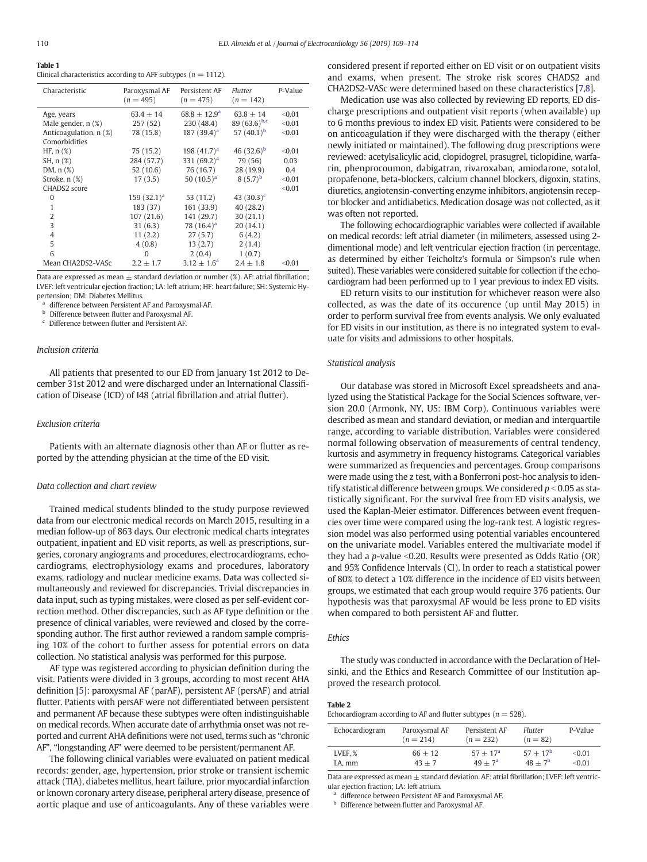## <span id="page-1-0"></span>Table 1

| --------                                                           |  |
|--------------------------------------------------------------------|--|
| Clinical characteristics according to AFF subtypes ( $n = 1112$ ). |  |

| Characteristic          | Paroxysmal AF<br>$(n = 495)$ | Persistent AF<br>$(n = 475)$ | Flutter<br>$(n = 142)$ | P-Value |
|-------------------------|------------------------------|------------------------------|------------------------|---------|
| Age, years              | $63.4 + 14$                  | $68.8 + 12.9^{\circ}$        | $63.8 + 14$            | < 0.01  |
| Male gender, $n$ $(\%)$ | 257(52)                      | 230 (48.4)                   | 89 $(63.6)^{b,c}$      | < 0.01  |
| Anticoagulation, n (%)  | 78 (15.8)                    | $187(39.4)^a$                | 57 $(40.1)^{b}$        | < 0.01  |
| Comorbidities           |                              |                              |                        |         |
| HF, $n(\%)$             | 75 (15.2)                    | 198 $(41.7)^a$               | 46 $(32.6)^b$          | < 0.01  |
| SH, $n$ $(\%)$          | 284 (57.7)                   | 331 $(69.2)^a$               | 79 (56)                | 0.03    |
| DM, $n$ $(\%)$          | 52(10.6)                     | 76 (16.7)                    | 28 (19.9)              | 0.4     |
| Stroke, n (%)           | 17(3.5)                      | 50 $(10.5)^{a}$              | $8(5.7)^b$             | < 0.01  |
| CHADS2 score            |                              |                              |                        | < 0.01  |
| 0                       | $159(32.1)^a$                | 53 (11.2)                    | 43 $(30.3)^c$          |         |
| 1                       | 183 (37)                     | 161 (33.9)                   | 40(28.2)               |         |
| $\overline{2}$          | 107(21.6)                    | 141 (29.7)                   | 30(21.1)               |         |
| 3                       | 31(6.3)                      | 78 $(16.4)^a$                | 20(14.1)               |         |
| 4                       | 11(2.2)                      | 27(5.7)                      | 6(4.2)                 |         |
| 5                       | 4(0.8)                       | 13(2.7)                      | 2(1.4)                 |         |
| 6                       | $\Omega$                     | 2(0.4)                       | 1(0.7)                 |         |
| Mean CHA2DS2-VASc       | $2.2 + 1.7$                  | $3.12 + 1.6^a$               | $2.4 + 1.8$            | < 0.01  |

Data are expressed as mean  $\pm$  standard deviation or number (%). AF: atrial fibrillation; LVEF: left ventricular ejection fraction; LA: left atrium; HF: heart failure; SH: Systemic Hypertension; DM: Diabetes Mellitus.

difference between Persistent AF and Paroxysmal AF.

<sup>b</sup> Difference between flutter and Paroxysmal AF.

<sup>c</sup> Difference between flutter and Persistent AF.

#### Inclusion criteria

All patients that presented to our ED from January 1st 2012 to December 31st 2012 and were discharged under an International Classification of Disease (ICD) of I48 (atrial fibrillation and atrial flutter).

#### Exclusion criteria

Patients with an alternate diagnosis other than AF or flutter as reported by the attending physician at the time of the ED visit.

#### Data collection and chart review

Trained medical students blinded to the study purpose reviewed data from our electronic medical records on March 2015, resulting in a median follow-up of 863 days. Our electronic medical charts integrates outpatient, inpatient and ED visit reports, as well as prescriptions, surgeries, coronary angiograms and procedures, electrocardiograms, echocardiograms, electrophysiology exams and procedures, laboratory exams, radiology and nuclear medicine exams. Data was collected simultaneously and reviewed for discrepancies. Trivial discrepancies in data input, such as typing mistakes, were closed as per self-evident correction method. Other discrepancies, such as AF type definition or the presence of clinical variables, were reviewed and closed by the corresponding author. The first author reviewed a random sample comprising 10% of the cohort to further assess for potential errors on data collection. No statistical analysis was performed for this purpose.

AF type was registered according to physician definition during the visit. Patients were divided in 3 groups, according to most recent AHA definition [[5](#page-5-0)]: paroxysmal AF (parAF), persistent AF (persAF) and atrial flutter. Patients with persAF were not differentiated between persistent and permanent AF because these subtypes were often indistinguishable on medical records. When accurate date of arrhythmia onset was not reported and current AHA definitions were not used, terms such as "chronic AF", "longstanding AF" were deemed to be persistent/permanent AF.

The following clinical variables were evaluated on patient medical records: gender, age, hypertension, prior stroke or transient ischemic attack (TIA), diabetes mellitus, heart failure, prior myocardial infarction or known coronary artery disease, peripheral artery disease, presence of aortic plaque and use of anticoagulants. Any of these variables were

considered present if reported either on ED visit or on outpatient visits and exams, when present. The stroke risk scores CHADS2 and CHA2DS2-VASc were determined based on these characteristics [[7,8](#page-5-0)].

Medication use was also collected by reviewing ED reports, ED discharge prescriptions and outpatient visit reports (when available) up to 6 months previous to index ED visit. Patients were considered to be on anticoagulation if they were discharged with the therapy (either newly initiated or maintained). The following drug prescriptions were reviewed: acetylsalicylic acid, clopidogrel, prasugrel, ticlopidine, warfarin, phenprocoumon, dabigatran, rivaroxaban, amiodarone, sotalol, propafenone, beta-blockers, calcium channel blockers, digoxin, statins, diuretics, angiotensin-converting enzyme inhibitors, angiotensin receptor blocker and antidiabetics. Medication dosage was not collected, as it was often not reported.

The following echocardiographic variables were collected if available on medical records: left atrial diameter (in milimeters, assessed using 2 dimentional mode) and left ventricular ejection fraction (in percentage, as determined by either Teicholtz's formula or Simpson's rule when suited). These variables were considered suitable for collection if the echocardiogram had been performed up to 1 year previous to index ED visits.

ED return visits to our institution for whichever reason were also collected, as was the date of its occurence (up until May 2015) in order to perform survival free from events analysis. We only evaluated for ED visits in our institution, as there is no integrated system to evaluate for visits and admissions to other hospitals.

#### Statistical analysis

Our database was stored in Microsoft Excel spreadsheets and analyzed using the Statistical Package for the Social Sciences software, version 20.0 (Armonk, NY, US: IBM Corp). Continuous variables were described as mean and standard deviation, or median and interquartile range, according to variable distribution. Variables were considered normal following observation of measurements of central tendency, kurtosis and asymmetry in frequency histograms. Categorical variables were summarized as frequencies and percentages. Group comparisons were made using the z test, with a Bonferroni post-hoc analysis to identify statistical difference between groups. We considered  $p < 0.05$  as statistically significant. For the survival free from ED visits analysis, we used the Kaplan-Meier estimator. Differences between event frequencies over time were compared using the log-rank test. A logistic regression model was also performed using potential variables encountered on the univariate model. Variables entered the multivariate model if they had a  $p$ -value <0.20. Results were presented as Odds Ratio (OR) and 95% Confidence Intervals (CI). In order to reach a statistical power of 80% to detect a 10% difference in the incidence of ED visits between groups, we estimated that each group would require 376 patients. Our hypothesis was that paroxysmal AF would be less prone to ED visits when compared to both persistent AF and flutter.

#### Ethics

The study was conducted in accordance with the Declaration of Helsinki, and the Ethics and Research Committee of our Institution approved the research protocol.

#### Table 2

Echocardiogram according to AF and flutter subtypes ( $n = 528$ ).

| Echocardiogram | Paroxysmal AF<br>$(n = 214)$ | Persistent AF<br>$(n = 232)$ | Flutter<br>$(n = 82)$ | P-Value |
|----------------|------------------------------|------------------------------|-----------------------|---------|
| LVEF. %        | $66 + 12$                    | $57 + 17a$                   | $57 + 17^{\rm b}$     | < 0.01  |
| LA. mm         | $43 + 7$                     | $49 + 7^a$                   | $48 + 7^b$            | < 0.01  |

Data are expressed as mean  $\pm$  standard deviation. AF: atrial fibrillation; LVEF: left ventricular ejection fraction; LA: left atrium.

difference between Persistent AF and Paroxysmal AF.

<sup>b</sup> Difference between flutter and Paroxysmal AF.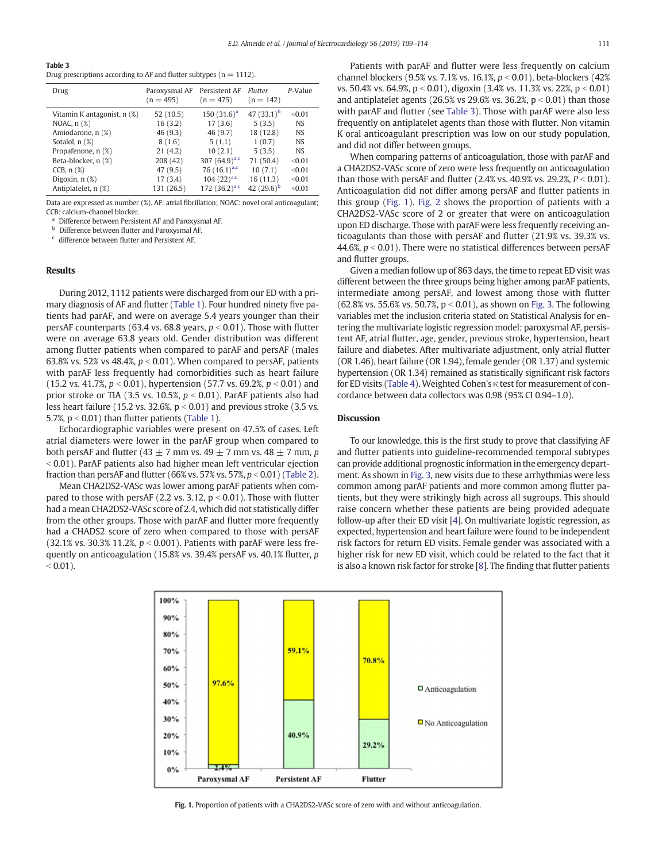| Table 3                                                                 |  |
|-------------------------------------------------------------------------|--|
| Drug prescriptions according to AF and flutter subtypes ( $n = 1112$ ). |  |

| Drug                                                                                                                                                   | Paroxysmal AF<br>$(n = 495)$                                                | Persistent AF<br>$(n = 475)$                                                                          | Flutter<br>$(n = 142)$                                                           | P-Value                                                                        |
|--------------------------------------------------------------------------------------------------------------------------------------------------------|-----------------------------------------------------------------------------|-------------------------------------------------------------------------------------------------------|----------------------------------------------------------------------------------|--------------------------------------------------------------------------------|
| Vitamin K antagonist, n (%)<br>NOAC, $n$ $(\%)$<br>Amiodarone, n (%)<br>Sotalol, n (%)<br>Propafenone, n (%)<br>Beta-blocker, n (%)<br>CCB, $n$ $(\%)$ | 52(10.5)<br>16(3.2)<br>46 (9.3)<br>8(1.6)<br>21(4.2)<br>208 (42)<br>47(9.5) | 150 $(31.6)^a$<br>17(3.6)<br>46 (9.7)<br>5(1.1)<br>10(2.1)<br>307 $(64.9)^{a,c}$<br>76 $(16.1)^{a,c}$ | 47 $(33.1)^b$<br>5(3.5)<br>18 (12.8)<br>1(0.7)<br>5(3.5)<br>71 (50.4)<br>10(7.1) | < 0.01<br><b>NS</b><br><b>NS</b><br><b>NS</b><br><b>NS</b><br>< 0.01<br>< 0.01 |
| Digoxin, n (%)<br>Antiplatelet, n (%)                                                                                                                  | 17(3.4)<br>131 (26.5)                                                       | $104 (22)^{a,c}$<br>172 $(36.2)^{a,c}$                                                                | 16(11.3)<br>42 $(29.6)^b$                                                        | < 0.01<br>< 0.01                                                               |
|                                                                                                                                                        |                                                                             |                                                                                                       |                                                                                  |                                                                                |

Data are expressed as number (%). AF: atrial fibrillation; NOAC: novel oral anticoagulant; CCB: calcium-channel blocker.

<sup>a</sup> Difference between Persistent AF and Paroxysmal AF.<br><sup>b</sup> Difference between flutter and Paroxysmal AF.

<sup>b</sup> Difference between flutter and Paroxysmal AF.

<sup>c</sup> difference between flutter and Persistent AF.

#### Results

During 2012, 1112 patients were discharged from our ED with a primary diagnosis of AF and flutter [\(Table 1](#page-1-0)). Four hundred ninety five patients had parAF, and were on average 5.4 years younger than their persAF counterparts (63.4 vs. 68.8 years,  $p < 0.01$ ). Those with flutter were on average 63.8 years old. Gender distribution was different among flutter patients when compared to parAF and persAF (males 63.8% vs. 52% vs 48.4%,  $p < 0.01$ ). When compared to persAF, patients with parAF less frequently had comorbidities such as heart failure (15.2 vs. 41.7%,  $p < 0.01$ ), hypertension (57.7 vs. 69.2%,  $p < 0.01$ ) and prior stroke or TIA (3.5 vs. 10.5%,  $p < 0.01$ ). ParAF patients also had less heart failure (15.2 vs. 32.6%,  $p < 0.01$ ) and previous stroke (3.5 vs. 5.7%,  $p < 0.01$ ) than flutter patients ([Table 1](#page-1-0)).

Echocardiographic variables were present on 47.5% of cases. Left atrial diameters were lower in the parAF group when compared to both persAF and flutter (43  $\pm$  7 mm vs. 49  $\pm$  7 mm vs. 48  $\pm$  7 mm, p  $<$  0.01). ParAF patients also had higher mean left ventricular ejection fraction than persAF and flutter ( $66\%$  vs.  $57\%$  vs.  $57\%$ ,  $p < 0.01$ ) [\(Table 2](#page-1-0)).

Mean CHA2DS2-VASc was lower among parAF patients when compared to those with persAF (2.2 vs. 3.12,  $p < 0.01$ ). Those with flutter had a mean CHA2DS2-VASc score of 2.4, which did not statistically differ from the other groups. Those with parAF and flutter more frequently had a CHADS2 score of zero when compared to those with persAF (32.1% vs. 30.3% 11.2%,  $p < 0.001$ ). Patients with parAF were less frequently on anticoagulation (15.8% vs. 39.4% persAF vs. 40.1% flutter, p  $0.01$ .

Patients with parAF and flutter were less frequently on calcium channel blockers (9.5% vs. 7.1% vs. 16.1%,  $p < 0.01$ ), beta-blockers (42%) vs. 50.4% vs. 64.9%,  $p < 0.01$ ), digoxin (3.4% vs. 11.3% vs. 22%,  $p < 0.01$ ) and antiplatelet agents (26.5% vs 29.6% vs. 36.2%,  $p < 0.01$ ) than those with parAF and flutter (see Table 3). Those with parAF were also less frequently on antiplatelet agents than those with flutter. Non vitamin K oral anticoagulant prescription was low on our study population, and did not differ between groups.

When comparing patterns of anticoagulation, those with parAF and a CHA2DS2-VASc score of zero were less frequently on anticoagulation than those with persAF and flutter  $(2.4\% \text{ vs. } 40.9\% \text{ vs. } 29.2\%, P < 0.01)$ . Anticoagulation did not differ among persAF and flutter patients in this group (Fig. 1). [Fig. 2](#page-3-0) shows the proportion of patients with a CHA2DS2-VASc score of 2 or greater that were on anticoagulation upon ED discharge. Those with parAF were less frequently receiving anticoagulants than those with persAF and flutter (21.9% vs. 39.3% vs. 44.6%,  $p < 0.01$ ). There were no statistical differences between persAF and flutter groups.

Given a median follow up of 863 days, the time to repeat ED visit was different between the three groups being higher among parAF patients, intermediate among persAF, and lowest among those with flutter (62.8% vs. 55.6% vs. 50.7%,  $p < 0.01$ ), as shown on [Fig. 3](#page-3-0). The following variables met the inclusion criteria stated on Statistical Analysis for entering the multivariate logistic regression model: paroxysmal AF, persistent AF, atrial flutter, age, gender, previous stroke, hypertension, heart failure and diabetes. After multivariate adjustment, only atrial flutter (OR 1.46), heart failure (OR 1.94), female gender (OR 1.37) and systemic hypertension (OR 1.34) remained as statistically significant risk factors for ED visits [\(Table 4\)](#page-4-0). Weighted Cohen's κ test for measurement of concordance between data collectors was 0.98 (95% CI 0.94–1.0).

#### Discussion

To our knowledge, this is the first study to prove that classifying AF and flutter patients into guideline-recommended temporal subtypes can provide additional prognostic information in the emergency department. As shown in [Fig. 3,](#page-3-0) new visits due to these arrhythmias were less common among parAF patients and more common among flutter patients, but they were strikingly high across all sugroups. This should raise concern whether these patients are being provided adequate follow-up after their ED visit [\[4\]](#page-5-0). On multivariate logistic regression, as expected, hypertension and heart failure were found to be independent risk factors for return ED visits. Female gender was associated with a higher risk for new ED visit, which could be related to the fact that it is also a known risk factor for stroke [[8](#page-5-0)]. The finding that flutter patients



Fig. 1. Proportion of patients with a CHA2DS2-VASc score of zero with and without anticoagulation.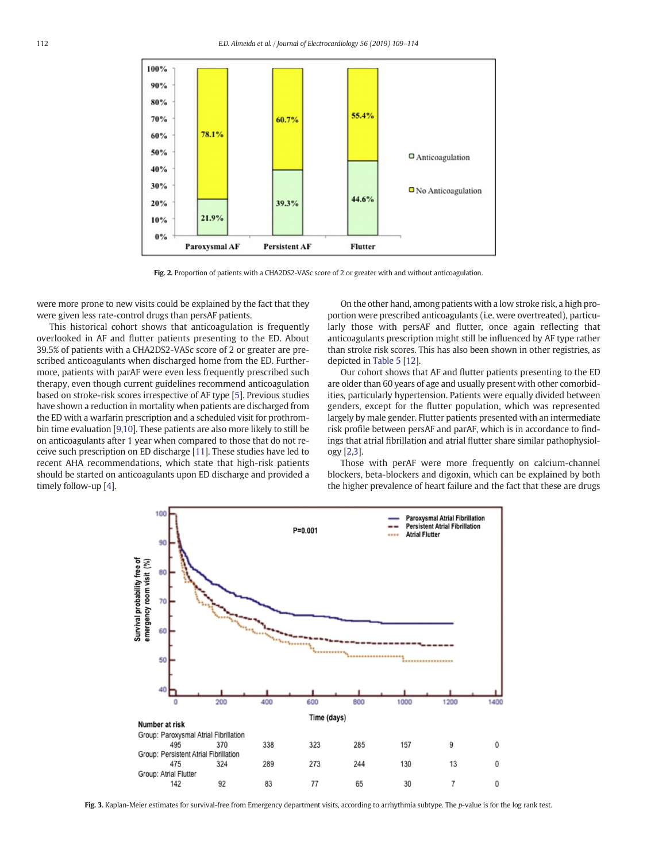<span id="page-3-0"></span>

Fig. 2. Proportion of patients with a CHA2DS2-VASc score of 2 or greater with and without anticoagulation.

were more prone to new visits could be explained by the fact that they were given less rate-control drugs than persAF patients.

This historical cohort shows that anticoagulation is frequently overlooked in AF and flutter patients presenting to the ED. About 39.5% of patients with a CHA2DS2-VASc score of 2 or greater are prescribed anticoagulants when discharged home from the ED. Furthermore, patients with parAF were even less frequently prescribed such therapy, even though current guidelines recommend anticoagulation based on stroke-risk scores irrespective of AF type [\[5\]](#page-5-0). Previous studies have shown a reduction in mortality when patients are discharged from the ED with a warfarin prescription and a scheduled visit for prothrombin time evaluation [\[9,10](#page-5-0)]. These patients are also more likely to still be on anticoagulants after 1 year when compared to those that do not receive such prescription on ED discharge [[11\]](#page-5-0). These studies have led to recent AHA recommendations, which state that high-risk patients should be started on anticoagulants upon ED discharge and provided a timely follow-up [\[4\]](#page-5-0).

On the other hand, among patients with a low stroke risk, a high proportion were prescribed anticoagulants (i.e. were overtreated), particularly those with persAF and flutter, once again reflecting that anticoagulants prescription might still be influenced by AF type rather than stroke risk scores. This has also been shown in other registries, as depicted in [Table 5](#page-4-0) [\[12\]](#page-5-0).

Our cohort shows that AF and flutter patients presenting to the ED are older than 60 years of age and usually present with other comorbidities, particularly hypertension. Patients were equally divided between genders, except for the flutter population, which was represented largely by male gender. Flutter patients presented with an intermediate risk profile between persAF and parAF, which is in accordance to findings that atrial fibrillation and atrial flutter share similar pathophysiology [\[2,3](#page-5-0)].

Those with perAF were more frequently on calcium-channel blockers, beta-blockers and digoxin, which can be explained by both the higher prevalence of heart failure and the fact that these are drugs



Fig. 3. Kaplan-Meier estimates for survival-free from Emergency department visits, according to arrhythmia subtype. The p-value is for the log rank test.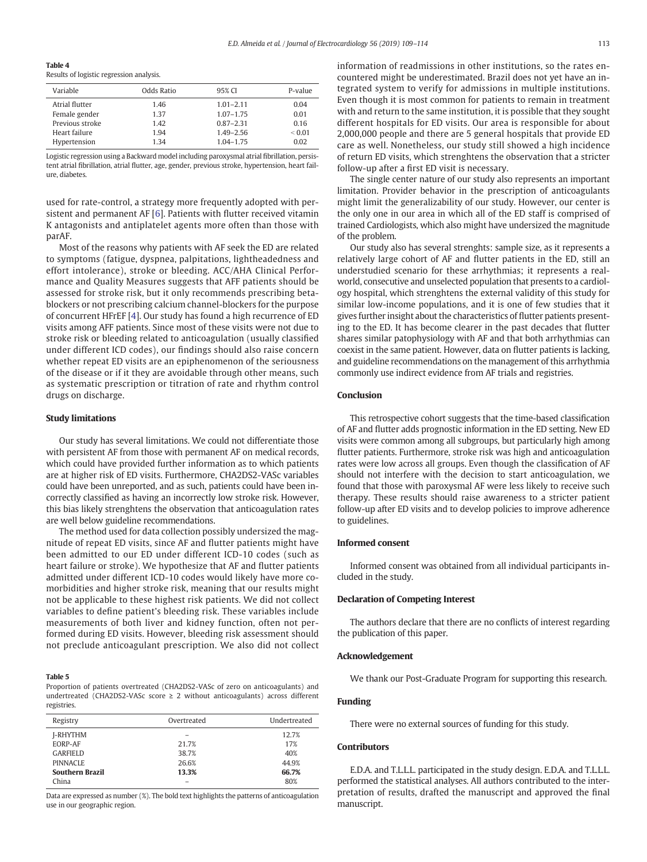<span id="page-4-0"></span>Table 4

Results of logistic regression analysis.

| Variable        | Odds Ratio | 95% CI        | P-value |
|-----------------|------------|---------------|---------|
| Atrial flutter  | 1.46       | $1.01 - 2.11$ | 0.04    |
| Female gender   | 1.37       | $1.07 - 1.75$ | 0.01    |
| Previous stroke | 1.42       | $0.87 - 2.31$ | 0.16    |
| Heart failure   | 1.94       | $1.49 - 2.56$ | < 0.01  |
| Hypertension    | 1.34       | $1.04 - 1.75$ | 0.02    |

Logistic regression using a Backward model including paroxysmal atrial fibrillation, persistent atrial fibrillation, atrial flutter, age, gender, previous stroke, hypertension, heart failure, diabetes.

used for rate-control, a strategy more frequently adopted with persistent and permanent AF [[6\]](#page-5-0). Patients with flutter received vitamin K antagonists and antiplatelet agents more often than those with parAF.

Most of the reasons why patients with AF seek the ED are related to symptoms (fatigue, dyspnea, palpitations, lightheadedness and effort intolerance), stroke or bleeding. ACC/AHA Clinical Performance and Quality Measures suggests that AFF patients should be assessed for stroke risk, but it only recommends prescribing betablockers or not prescribing calcium channel-blockers for the purpose of concurrent HFrEF [[4](#page-5-0)]. Our study has found a high recurrence of ED visits among AFF patients. Since most of these visits were not due to stroke risk or bleeding related to anticoagulation (usually classified under different ICD codes), our findings should also raise concern whether repeat ED visits are an epiphenomenon of the seriousness of the disease or if it they are avoidable through other means, such as systematic prescription or titration of rate and rhythm control drugs on discharge.

#### Study limitations

Our study has several limitations. We could not differentiate those with persistent AF from those with permanent AF on medical records, which could have provided further information as to which patients are at higher risk of ED visits. Furthermore, CHA2DS2-VASc variables could have been unreported, and as such, patients could have been incorrectly classified as having an incorrectly low stroke risk. However, this bias likely strenghtens the observation that anticoagulation rates are well below guideline recommendations.

The method used for data collection possibly undersized the magnitude of repeat ED visits, since AF and flutter patients might have been admitted to our ED under different ICD-10 codes (such as heart failure or stroke). We hypothesize that AF and flutter patients admitted under different ICD-10 codes would likely have more comorbidities and higher stroke risk, meaning that our results might not be applicable to these highest risk patients. We did not collect variables to define patient's bleeding risk. These variables include measurements of both liver and kidney function, often not performed during ED visits. However, bleeding risk assessment should not preclude anticoagulant prescription. We also did not collect

#### Table 5

Proportion of patients overtreated (CHA2DS2-VASc of zero on anticoagulants) and undertreated (CHA2DS2-VASc score ≥ 2 without anticoagulants) across different registries.

| Registry               | Overtreated | Undertreated |
|------------------------|-------------|--------------|
| <b>I-RHYTHM</b>        |             | 12.7%        |
| EORP-AF                | 21.7%       | 17%          |
| <b>GARFIELD</b>        | 38.7%       | 40%          |
| <b>PINNACLE</b>        | 26.6%       | 44.9%        |
| <b>Southern Brazil</b> | 13.3%       | 66.7%        |
| China                  |             | 80%          |

Data are expressed as number (%). The bold text highlights the patterns of anticoagulation use in our geographic region.

information of readmissions in other institutions, so the rates encountered might be underestimated. Brazil does not yet have an integrated system to verify for admissions in multiple institutions. Even though it is most common for patients to remain in treatment with and return to the same institution, it is possible that they sought different hospitals for ED visits. Our area is responsible for about 2,000,000 people and there are 5 general hospitals that provide ED care as well. Nonetheless, our study still showed a high incidence of return ED visits, which strenghtens the observation that a stricter follow-up after a first ED visit is necessary.

The single center nature of our study also represents an important limitation. Provider behavior in the prescription of anticoagulants might limit the generalizability of our study. However, our center is the only one in our area in which all of the ED staff is comprised of trained Cardiologists, which also might have undersized the magnitude of the problem.

Our study also has several strenghts: sample size, as it represents a relatively large cohort of AF and flutter patients in the ED, still an understudied scenario for these arrhythmias; it represents a realworld, consecutive and unselected population that presents to a cardiology hospital, which strenghtens the external validity of this study for similar low-income populations, and it is one of few studies that it gives further insight about the characteristics of flutter patients presenting to the ED. It has become clearer in the past decades that flutter shares similar patophysiology with AF and that both arrhythmias can coexist in the same patient. However, data on flutter patients is lacking, and guideline recommendations on the management of this arrhythmia commonly use indirect evidence from AF trials and registries.

#### **Conclusion**

This retrospective cohort suggests that the time-based classification of AF and flutter adds prognostic information in the ED setting. New ED visits were common among all subgroups, but particularly high among flutter patients. Furthermore, stroke risk was high and anticoagulation rates were low across all groups. Even though the classification of AF should not interfere with the decision to start anticoagulation, we found that those with paroxysmal AF were less likely to receive such therapy. These results should raise awareness to a stricter patient follow-up after ED visits and to develop policies to improve adherence to guidelines.

#### Informed consent

Informed consent was obtained from all individual participants included in the study.

#### Declaration of Competing Interest

The authors declare that there are no conflicts of interest regarding the publication of this paper.

#### Acknowledgement

We thank our Post-Graduate Program for supporting this research.

#### Funding

There were no external sources of funding for this study.

#### **Contributors**

E.D.A. and T.L.L.L. participated in the study design. E.D.A. and T.L.L.L. performed the statistical analyses. All authors contributed to the interpretation of results, drafted the manuscript and approved the final manuscript.